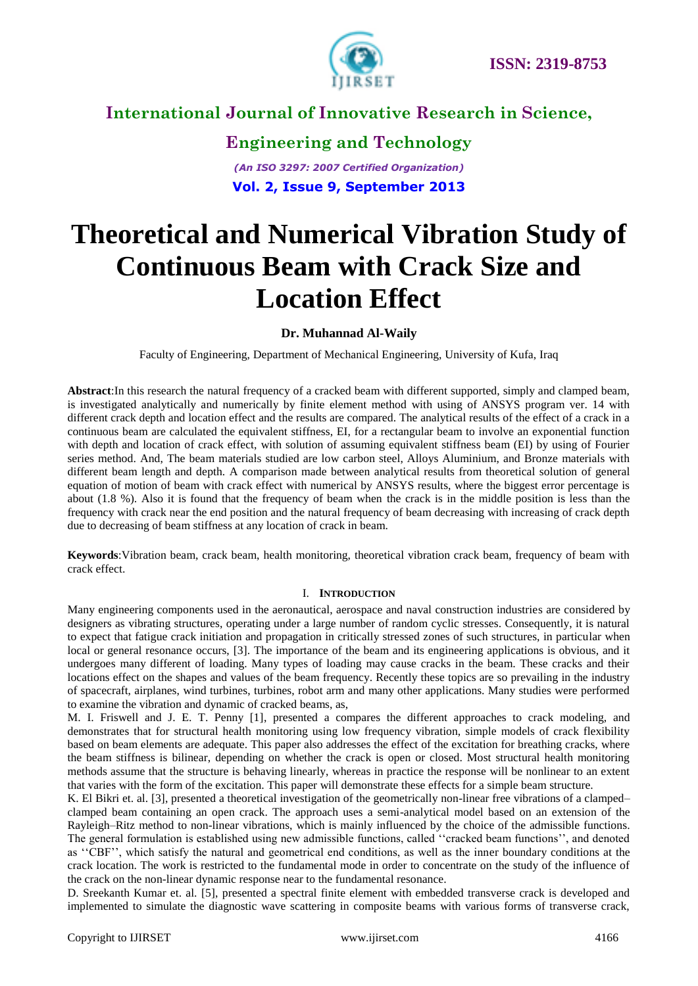

# **Engineering and Technology** *(An ISO 3297: 2007 Certified Organization)*

**Vol. 2, Issue 9, September 2013**

# **Theoretical and Numerical Vibration Study of Continuous Beam with Crack Size and Location Effect**

**Dr. Muhannad Al-Waily**

Faculty of Engineering, Department of Mechanical Engineering, University of Kufa, Iraq

**Abstract**:In this research the natural frequency of a cracked beam with different supported, simply and clamped beam, is investigated analytically and numerically by finite element method with using of ANSYS program ver. 14 with different crack depth and location effect and the results are compared. The analytical results of the effect of a crack in a continuous beam are calculated the equivalent stiffness, EI, for a rectangular beam to involve an exponential function with depth and location of crack effect, with solution of assuming equivalent stiffness beam (EI) by using of Fourier series method. And, The beam materials studied are low carbon steel, Alloys Aluminium, and Bronze materials with different beam length and depth. A comparison made between analytical results from theoretical solution of general equation of motion of beam with crack effect with numerical by ANSYS results, where the biggest error percentage is about (1.8 %). Also it is found that the frequency of beam when the crack is in the middle position is less than the frequency with crack near the end position and the natural frequency of beam decreasing with increasing of crack depth due to decreasing of beam stiffness at any location of crack in beam.

**Keywords**:Vibration beam, crack beam, health monitoring, theoretical vibration crack beam, frequency of beam with crack effect.

#### I. **INTRODUCTION**

Many engineering components used in the aeronautical, aerospace and naval construction industries are considered by designers as vibrating structures, operating under a large number of random cyclic stresses. Consequently, it is natural to expect that fatigue crack initiation and propagation in critically stressed zones of such structures, in particular when local or general resonance occurs, [3]. The importance of the beam and its engineering applications is obvious, and it undergoes many different of loading. Many types of loading may cause cracks in the beam. These cracks and their locations effect on the shapes and values of the beam frequency. Recently these topics are so prevailing in the industry of spacecraft, airplanes, wind turbines, turbines, robot arm and many other applications. Many studies were performed to examine the vibration and dynamic of cracked beams, as,

M. I. Friswell and J. E. T. Penny [1], presented a compares the different approaches to crack modeling, and demonstrates that for structural health monitoring using low frequency vibration, simple models of crack flexibility based on beam elements are adequate. This paper also addresses the effect of the excitation for breathing cracks, where the beam stiffness is bilinear, depending on whether the crack is open or closed. Most structural health monitoring methods assume that the structure is behaving linearly, whereas in practice the response will be nonlinear to an extent that varies with the form of the excitation. This paper will demonstrate these effects for a simple beam structure.

K. El Bikri et. al. [3], presented a theoretical investigation of the geometrically non-linear free vibrations of a clamped– clamped beam containing an open crack. The approach uses a semi-analytical model based on an extension of the Rayleigh–Ritz method to non-linear vibrations, which is mainly influenced by the choice of the admissible functions. The general formulation is established using new admissible functions, called ''cracked beam functions'', and denoted as ''CBF'', which satisfy the natural and geometrical end conditions, as well as the inner boundary conditions at the crack location. The work is restricted to the fundamental mode in order to concentrate on the study of the influence of the crack on the non-linear dynamic response near to the fundamental resonance.

D. Sreekanth Kumar et. al. [5], presented a spectral finite element with embedded transverse crack is developed and implemented to simulate the diagnostic wave scattering in composite beams with various forms of transverse crack,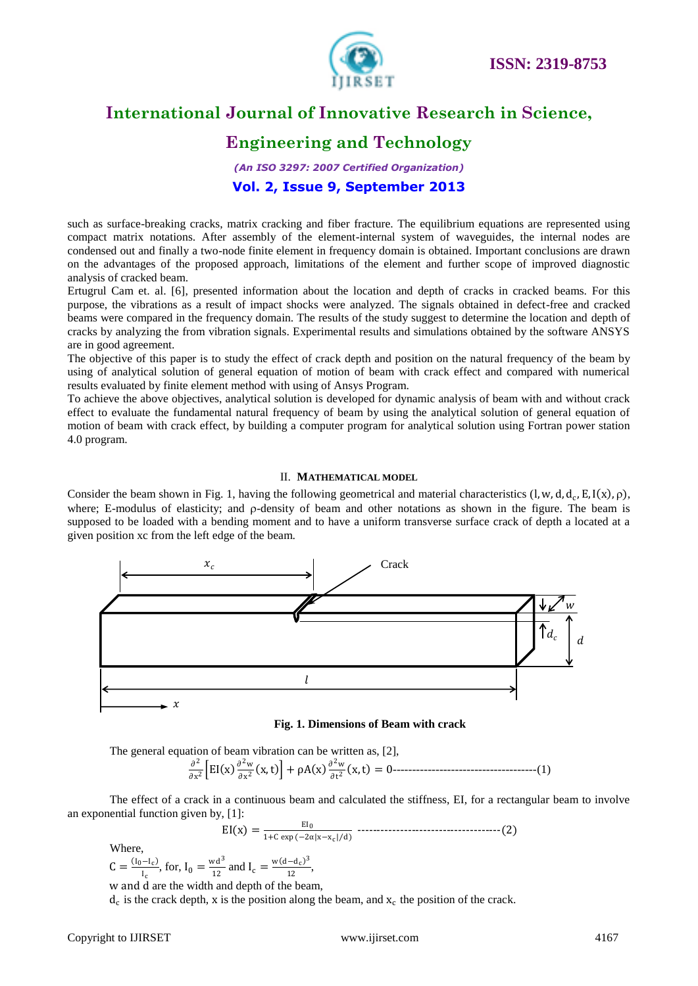

# **Engineering and Technology**

*(An ISO 3297: 2007 Certified Organization)* **Vol. 2, Issue 9, September 2013**

such as surface-breaking cracks, matrix cracking and fiber fracture. The equilibrium equations are represented using compact matrix notations. After assembly of the element-internal system of waveguides, the internal nodes are condensed out and finally a two-node finite element in frequency domain is obtained. Important conclusions are drawn on the advantages of the proposed approach, limitations of the element and further scope of improved diagnostic analysis of cracked beam.

Ertugrul Cam et. al. [6], presented information about the location and depth of cracks in cracked beams. For this purpose, the vibrations as a result of impact shocks were analyzed. The signals obtained in defect-free and cracked beams were compared in the frequency domain. The results of the study suggest to determine the location and depth of cracks by analyzing the from vibration signals. Experimental results and simulations obtained by the software ANSYS are in good agreement.

The objective of this paper is to study the effect of crack depth and position on the natural frequency of the beam by using of analytical solution of general equation of motion of beam with crack effect and compared with numerical results evaluated by finite element method with using of Ansys Program.

To achieve the above objectives, analytical solution is developed for dynamic analysis of beam with and without crack effect to evaluate the fundamental natural frequency of beam by using the analytical solution of general equation of motion of beam with crack effect, by building a computer program for analytical solution using Fortran power station 4.0 program.

#### II. **MATHEMATICAL MODEL**

Consider the beam shown in Fig. 1, having the following geometrical and material characteristics  $(l, w, d, d_c, E, I(x), \rho)$ , where; E-modulus of elasticity; and  $\rho$ -density of beam and other notations as shown in the figure. The beam is supposed to be loaded with a bending moment and to have a uniform transverse surface crack of depth a located at a given position xc from the left edge of the beam.



**Fig. 1. Dimensions of Beam with crack**

The general equation of beam vibration can be written as, [2],  $\partial^2$  $\frac{\partial^2}{\partial x^2}$   $\left[EI(x)\frac{\partial^2 w}{\partial x^2}\right]$  $\frac{\partial^2 w}{\partial x^2}$  (x, t)  $\left] + \rho A(x) \frac{\partial^2 w}{\partial t^2} \right]$ ∂t 2 x,t = 0-------------------------------------(1)

The effect of a crack in a continuous beam and calculated the stiffness, EI, for a rectangular beam to involve an exponential function given by, [1]:

EI x = EI0 1+C exp −2α x−xc d -------------------------------------(2)

Where,

 $C = \frac{(I_0 - I_c)}{I}$  $\frac{I_{c}}{I_{c}}$ , for,  $I_{0} = \frac{wd^{3}}{12}$  $\frac{v d^3}{12}$  and  $I_c = \frac{w (d - d_c)^3}{12}$  $\frac{-u_c}{12},$ 

w and d are the width and depth of the beam,

 $d_c$  is the crack depth, x is the position along the beam, and  $x_c$  the position of the crack.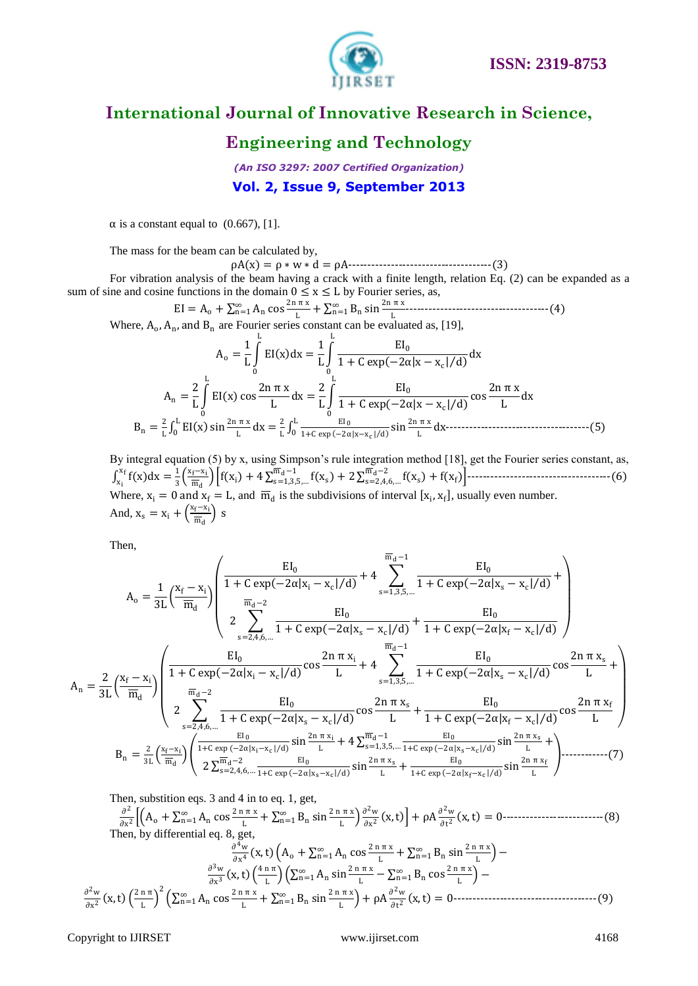

### **Engineering and Technology**

*(An ISO 3297: 2007 Certified Organization)* **Vol. 2, Issue 9, September 2013**

 $\alpha$  is a constant equal to (0.667), [1].

The mass for the beam can be calculated by,

ρA x = ρ ∗ w ∗ d = ρA-------------------------------------(3)

For vibration analysis of the beam having a crack with a finite length, relation Eq. (2) can be expanded as a sum of sine and cosine functions in the domain  $0 \le x \le L$  by Fourier series, as,

 $EI = A_0 + \sum_{n=1}^{\infty} A_n \cos \frac{2n \pi x}{l}$ L  $_{n=1}^{\infty}$  A<sub>n</sub> cos  $\frac{2n \pi x}{L} + \sum_{n=1}^{\infty} B_n \sin \frac{2n \pi x}{L}$ ∞ n=1 -------------------------------------(4) Where,  $A_0$ ,  $A_n$ , and  $B_n$  are Fourier series constant can be evaluated as, [19],

$$
A_0 = \frac{1}{L} \int_0^L EI(x) dx = \frac{1}{L} \int_0^L \frac{EI_0}{1 + C \exp(-2\alpha|x - x_c|/d)} dx
$$
  
\n
$$
A_n = \frac{2}{L} \int_0^L EI(x) \cos \frac{2n \pi x}{L} dx = \frac{2}{L} \int_0^L \frac{EI_0}{1 + C \exp(-2\alpha|x - x_c|/d)} \cos \frac{2n \pi x}{L} dx
$$
  
\n
$$
B_n = \frac{2}{L} \int_0^L EI(x) \sin \frac{2n \pi x}{L} dx = \frac{2}{L} \int_0^L \frac{EI_0}{1 + C \exp(-2\alpha|x - x_c|/d)} \sin \frac{2n \pi x}{L} dx
$$

By integral equation (5) by x, using Simpson's rule integration method [18], get the Fourier series constant, as,  $\int_{x_1}^{x_f} f(x) dx = \frac{1}{3}$  $rac{1}{3} \left( \frac{x_f - x_i}{\overline{m}_d} \right)$ md f x<sup>i</sup> + 4 f x<sup>s</sup> md−1 s=1,3,5,… + 2 f x<sup>s</sup> md−2 s=2,4,6,… + f x<sup>f</sup> -------------------------------------(6) Where,  $x_i = 0$  and  $x_f = L$ , and  $\overline{m}_d$  is the subdivisions of interval  $[x_i, x_f]$ , usually even number. And,  $x_s = x_i + \left(\frac{x_f - x_i}{\overline{m}}\right)$  $\frac{f^{-\lambda_1}}{\overline{m}_d}$  s

Then,

$$
A_{o} = \frac{1}{3L} \left( \frac{x_{f} - x_{i}}{\overline{m}_{d}} \right) \left( \frac{EI_{0}}{1 + C \exp(-2\alpha|x_{i} - x_{c}|/d)} + 4 \sum_{s=1,3,5,...} \frac{EI_{0}}{1 + C \exp(-2\alpha|x_{s} - x_{c}|/d)} + 4 \sum_{s=1,3,5,...} \frac{EI_{0}}{1 + C \exp(-2\alpha|x_{f} - x_{c}|/d)} \right)
$$
  

$$
A_{n} = \frac{2}{3L} \left( \frac{x_{f} - x_{i}}{\overline{m}_{d}} \right) \left( \frac{EI_{0}}{1 + C \exp(-2\alpha|x_{i} - x_{c}|/d)} \cos \frac{2n \pi x_{i}}{L} + 4 \sum_{s=1,3,5,...} \frac{EI_{0}}{\overline{m}_{d} - 1} \frac{EI_{0}}{1 + C \exp(-2\alpha|x_{s} - x_{c}|/d)} \cos \frac{2n \pi x_{s}}{L} + 4 \sum_{s=1,3,5,...} \frac{EI_{0}}{1 + C \exp(-2\alpha|x_{s} - x_{c}|/d)} \cos \frac{2n \pi x_{s}}{L} + 4 \sum_{s=1,3,5,...} \frac{EI_{0}}{1 + C \exp(-2\alpha|x_{s} - x_{c}|/d)} \cos \frac{2n \pi x_{f}}{L} \right)
$$
  

$$
B_{n} = \frac{2}{3L} \left( \frac{x_{f} - x_{i}}{\overline{m}_{d}} \right) \left( \frac{EI_{0}}{1 + C \exp(-2\alpha|x_{s} - x_{c}|/d)} \sin \frac{2n \pi x_{i}}{L} + 4 \sum_{s=1,3,5,...} \frac{EI_{0}}{1 + C \exp(-2\alpha|x_{s} - x_{c}|/d)} \sin \frac{2n \pi x_{s}}{L} + \frac{EI_{0}}{1 + C \exp(-2\alpha|x_{s} - x_{c}|/d)} \sin \frac{2n \pi x_{s}}{L} + 4 \sum_{s=1,3,5,...} \frac{EI_{0}}{1 + C \exp(-2\alpha|x_{s} - x_{c}|/d)} \sin \frac{2n \pi x_{s}}{L} + 4 \sum_{s=1,4,5,...} \frac{EI_{0}}{1 + C \exp(-2\alpha|x_{s} - x_{c
$$

Then, substition eqs. 3 and 4 in to eq. 1, get,

 $\partial^2$  $\frac{\partial^2}{\partial x^2} \Biggl[ \Bigl( A_0 + \sum_{n=1}^{\infty} A_n \cos \frac{2 \ln \pi x}{L} \Bigr)$ L  $_{n=1}^{\infty}$  A<sub>n</sub> cos  $\frac{2 \ln \pi x}{L}$  +  $\sum_{n=1}^{\infty}$  B<sub>n</sub> sin  $\frac{2 \ln \pi x}{L}$  $\sum_{n=1}^{\infty} B_n \sin \frac{2 \pi \pi x}{l} \frac{\partial^2 w}{\partial x^2}$  $\frac{\partial^2 w}{\partial x^2}(x,t) + \rho A \frac{\partial^2 w}{\partial t^2}$  $\frac{\partial^2 w}{\partial t^2}$  (x, t) = 0----------------------------(8) Then, by differential eq. 8, get,

$$
\frac{\frac{\partial^4 w}{\partial x^4}(x,t)\left(A_o + \sum_{n=1}^{\infty} A_n \cos\frac{2 n \pi x}{L} + \sum_{n=1}^{\infty} B_n \sin\frac{2 n \pi x}{L}\right) - \frac{\frac{\partial^3 w}{\partial x^3}(x,t)\left(\frac{4 n \pi}{L}\right)\left(\sum_{n=1}^{\infty} A_n \sin\frac{2 n \pi x}{L} - \sum_{n=1}^{\infty} B_n \cos\frac{2 n \pi x}{L}\right) - \frac{\frac{\partial^2 w}{\partial x^2}(x,t)\left(\frac{2 n \pi}{L}\right)^2\left(\sum_{n=1}^{\infty} A_n \cos\frac{2 n \pi x}{L} + \sum_{n=1}^{\infty} B_n \sin\frac{2 n \pi x}{L}\right) + \rho A \frac{\frac{\partial^2 w}{\partial t^2}(x,t)}{\frac{\partial^2 w}{\partial t^2}(x,t)} = 0
$$
.................(9)

Copyright to IJIRSET [www.ijirset.com](http://www.ijirset.com/) 4168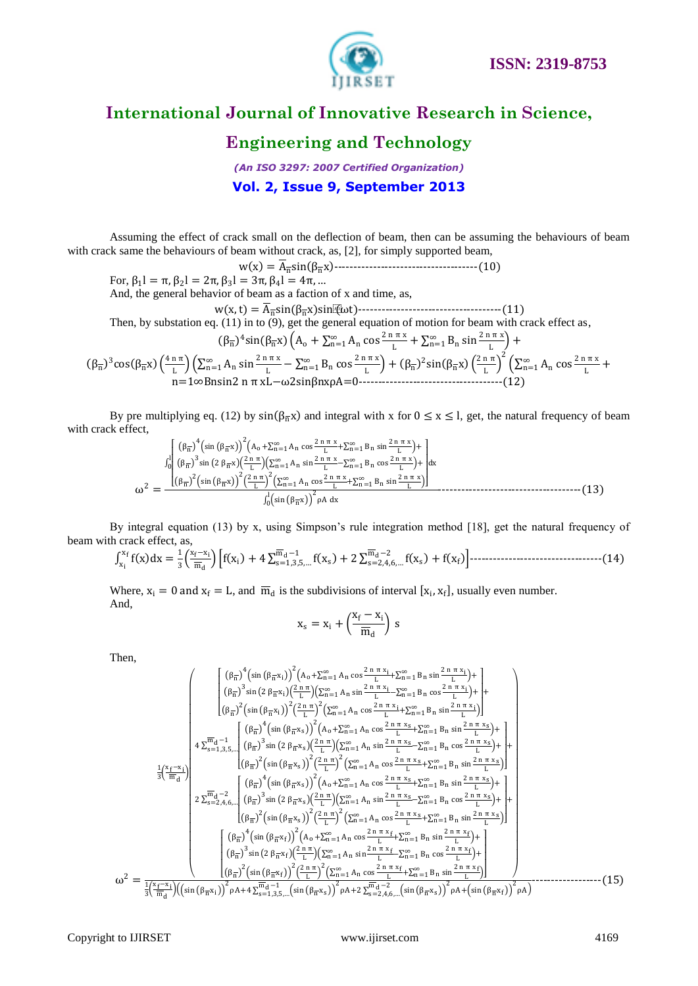

### **Engineering and Technology**

*(An ISO 3297: 2007 Certified Organization)* **Vol. 2, Issue 9, September 2013**

Assuming the effect of crack small on the deflection of beam, then can be assuming the behaviours of beam with crack same the behaviours of beam without crack, as, [2], for simply supported beam,

w x = Ansin βnx -------------------------------------(10)

For,  $\beta_1$ l = π,  $\beta_2$ l = 2π,  $\beta_3$ l = 3π,  $\beta_4$ l = 4π, ... And, the general behavior of beam as a faction of x and time, as,

w x,t = Ansin βnx sin(ωt)-------------------------------------(11) Then, by substation eq. (11) in to (9), get the general equation of motion for beam with crack effect as,

> $(\beta_{\overline{n}})^4 \sin(\beta_{\overline{n}} x) \left(A_0 + \sum_{n=1}^{\infty} A_n \cos \frac{2 \pi \pi x}{n}\right)$  $_{n=1}^{\infty}$  A<sub>n</sub> cos  $\frac{2 \ln \pi x}{L}$  +  $\sum_{n=1}^{\infty}$  B<sub>n</sub> sin  $\frac{2 \ln \pi x}{L}$  $\sum_{n=1}^{\infty} B_n \sin \frac{2 \pi \pi x}{l} +$

$$
(\beta_{\overline{n}})^{3}\cos(\beta_{\overline{n}}x)\left(\frac{4 n \pi}{L}\right)\left(\sum_{n=1}^{\infty}A_{n}\sin\frac{2 n \pi x}{L}-\sum_{n=1}^{\infty}B_{n}\cos\frac{2 n \pi x}{L}\right)+(\beta_{\overline{n}})^{2}\sin(\beta_{\overline{n}}x)\left(\frac{2 n \pi}{L}\right)^{2}\left(\sum_{n=1}^{\infty}A_{n}\cos\frac{2 n \pi x}{L}+n=1\infty Bnsin2 n \pi xL-\omega2\sin\beta n x\rho A=0
$$
.................(12)

By pre multiplying eq. (12) by  $sin(\beta_{\overline{n}}x)$  and integral with x for  $0 \le x \le l$ , get, the natural frequency of beam with crack effect,

$$
\omega^2 = \frac{\int_0^1 \left(\beta_{\overline{n}}\right)^4 \left(\sin\left(\beta_{\overline{n}}x\right)\right)^2 \left(A_0 + \sum_{n=1}^\infty A_n \cos\frac{2 n \pi x}{L} + \sum_{n=1}^\infty B_n \sin\frac{2 n \pi x}{L}\right) + \int_0^1 \left(\beta_{\overline{n}}\right)^3 \sin\left(2 \beta_{\overline{n}}x\right) \left(\sum_{n=1}^\infty A_n \sin\frac{2 n \pi x}{L} - \sum_{n=1}^\infty B_n \cos\frac{2 n \pi x}{L}\right) + \left(\beta_{\overline{n}}\right)^2 \left(\sin\left(\beta_{\overline{n}}x\right)\right)^2 \left(\frac{2 n \pi}{L}\right)^2 \left(\sum_{n=1}^\infty A_n \cos\frac{2 n \pi x}{L} + \sum_{n=1}^\infty B_n \sin\frac{2 n \pi x}{L}\right)}{\int_0^1 \left(\sin\left(\beta_{\overline{n}}x\right)\right)^2 \rho A \, dx}
$$
 (13)

By integral equation (13) by x, using Simpson's rule integration method [18], get the natural frequency of beam with crack effect, as,

$$
\int_{x_i}^{x_f} f(x) dx = \frac{1}{3} \left( \frac{x_f - x_i}{\overline{m}_d} \right) \left[ f(x_i) + 4 \sum_{s=1,3,5,\dots}^{\overline{m}_d - 1} f(x_s) + 2 \sum_{s=2,4,6,\dots}^{\overline{m}_d - 2} f(x_s) + f(x_f) \right] \dots
$$

Where,  $x_i = 0$  and  $x_f = L$ , and  $\overline{m}_d$  is the subdivisions of interval  $[x_i, x_f]$ , usually even number. And,

$$
x_s = x_i + \left(\!\frac{x_f-x_i}{\overline{m}_d}\!\right)\,s
$$

Then,

$$
\frac{1}{3}\left(\frac{x_{f}-x_{i}}{m_{d}}\right)
$$
\n
$$
\frac{1}{3}\left(\frac{x_{f}-x_{i}}{m_{d}}\right)
$$
\n
$$
\frac{1}{3}\left(\frac{x_{f}-x_{i}}{m_{d}}\right)
$$
\n
$$
\frac{1}{3}\left(\frac{x_{f}-x_{i}}{m_{d}}\right)
$$
\n
$$
\frac{1}{3}\left(\frac{x_{f}-x_{i}}{m_{d}}\right)
$$
\n
$$
\frac{1}{3}\left(\frac{x_{f}-x_{i}}{m_{d}}\right)
$$
\n
$$
\frac{1}{3}\left(\frac{x_{f}-x_{i}}{m_{d}}\right)
$$
\n
$$
\frac{1}{3}\left(\frac{x_{f}-x_{i}}{m_{d}}\right)
$$
\n
$$
\frac{1}{3}\left(\frac{x_{f}-x_{i}}{m_{d}}\right)
$$
\n
$$
\frac{1}{3}\left(\frac{x_{f}-x_{i}}{m_{d}}\right)
$$
\n
$$
\frac{1}{3}\left(\frac{x_{f}-x_{i}}{m_{d}}\right)
$$
\n
$$
\frac{1}{3}\left(\frac{x_{f}-x_{i}}{m_{d}}\right)
$$
\n
$$
\frac{1}{3}\left(\frac{x_{f}-x_{i}}{m_{d}}\right)
$$
\n
$$
\frac{1}{3}\left(\frac{x_{f}-x_{i}}{m_{d}}\right)
$$
\n
$$
\frac{1}{3}\left(\frac{x_{f}-x_{i}}{m_{d}}\right)
$$
\n
$$
\frac{1}{3}\left(\frac{x_{f}-x_{i}}{m_{d}}\right)
$$
\n
$$
\frac{1}{3}\left(\frac{x_{f}-x_{i}}{m_{d}}\right)
$$
\n
$$
\frac{1}{3}\left(\frac{x_{f}-x_{i}}{m_{d}}\right)
$$
\n
$$
\frac{1}{3}\left(\frac{x_{f}-x_{i}}{m_{d}}\right)
$$
\n
$$
\frac{1}{3}\left(\frac{x_{f}-x_{i}}{m_{d}}\right)
$$
\n
$$
\frac{1}{3}\left(\frac{x_{f}-x_{i}}{m_{d}}\right)
$$
\n
$$
\frac{1}{3}\left(\frac{x_{f}-x_{i}}{m_{d}}\right)
$$
\n
$$
\frac{1}{3}\left(\frac{x_{
$$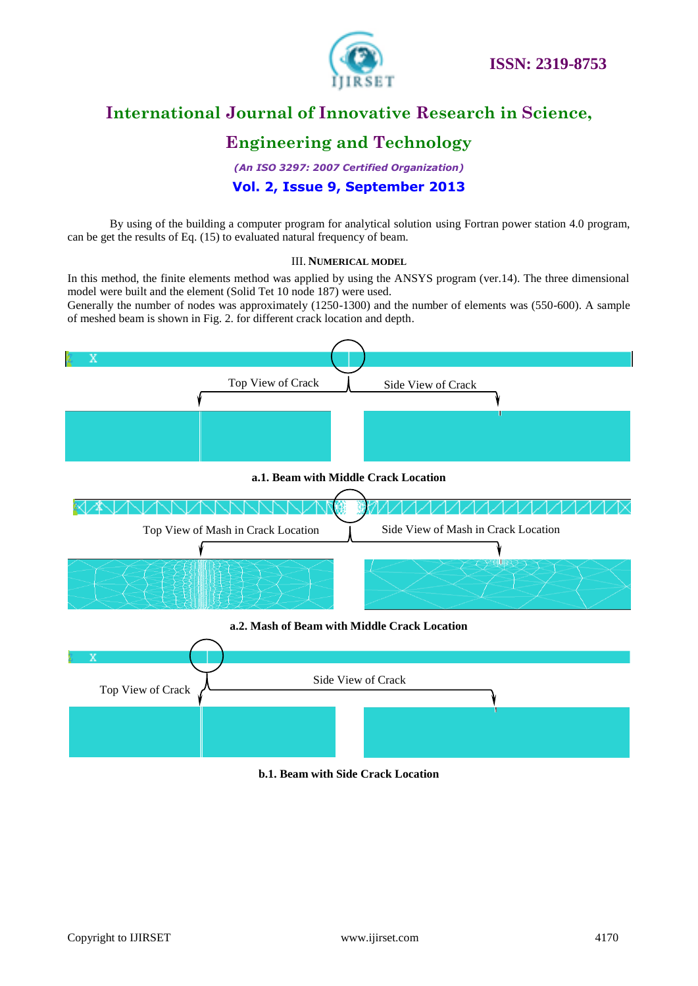

# **Engineering and Technology**

*(An ISO 3297: 2007 Certified Organization)* **Vol. 2, Issue 9, September 2013**

By using of the building a computer program for analytical solution using Fortran power station 4.0 program, can be get the results of Eq. (15) to evaluated natural frequency of beam.

#### III. **NUMERICAL MODEL**

In this method, the finite elements method was applied by using the ANSYS program (ver.14). The three dimensional model were built and the element (Solid Tet 10 node 187) were used.

Generally the number of nodes was approximately (1250-1300) and the number of elements was (550-600). A sample of meshed beam is shown in Fig. 2. for different crack location and depth.





#### **b.1. Beam with Side Crack Location**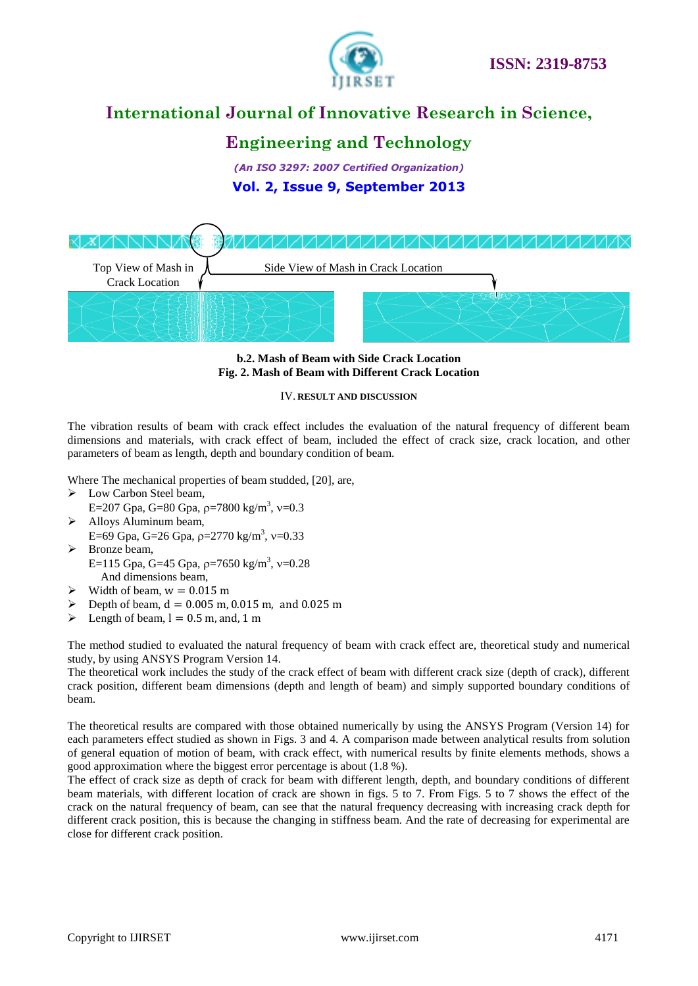



# **Engineering and Technology**

*(An ISO 3297: 2007 Certified Organization)* **Vol. 2, Issue 9, September 2013**



**b.2. Mash of Beam with Side Crack Location Fig. 2. Mash of Beam with Different Crack Location**

#### IV. **RESULT AND DISCUSSION**

The vibration results of beam with crack effect includes the evaluation of the natural frequency of different beam dimensions and materials, with crack effect of beam, included the effect of crack size, crack location, and other parameters of beam as length, depth and boundary condition of beam.

Where The mechanical properties of beam studded, [20], are,

- > Low Carbon Steel beam,
- E=207 Gpa, G=80 Gpa,  $\rho$ =7800 kg/m<sup>3</sup>, v=0.3 > Alloys Aluminum beam,
	- E=69 Gpa, G=26 Gpa,  $\rho$ =2770 kg/m<sup>3</sup>, v=0.33
- > Bronze beam, E=115 Gpa, G=45 Gpa,  $\rho$ =7650 kg/m<sup>3</sup>, v=0.28 And dimensions beam,
- $\triangleright$  Width of beam,  $w = 0.015$  m
- $\geq$  Depth of beam,  $d = 0.005$  m, 0.015 m, and 0.025 m
- Eength of beam,  $l = 0.5$  m, and, 1 m

The method studied to evaluated the natural frequency of beam with crack effect are, theoretical study and numerical study, by using ANSYS Program Version 14.

The theoretical work includes the study of the crack effect of beam with different crack size (depth of crack), different crack position, different beam dimensions (depth and length of beam) and simply supported boundary conditions of beam.

The theoretical results are compared with those obtained numerically by using the ANSYS Program (Version 14) for each parameters effect studied as shown in Figs. 3 and 4. A comparison made between analytical results from solution of general equation of motion of beam, with crack effect, with numerical results by finite elements methods, shows a good approximation where the biggest error percentage is about (1.8 %).

The effect of crack size as depth of crack for beam with different length, depth, and boundary conditions of different beam materials, with different location of crack are shown in figs. 5 to 7. From Figs. 5 to 7 shows the effect of the crack on the natural frequency of beam, can see that the natural frequency decreasing with increasing crack depth for different crack position, this is because the changing in stiffness beam. And the rate of decreasing for experimental are close for different crack position.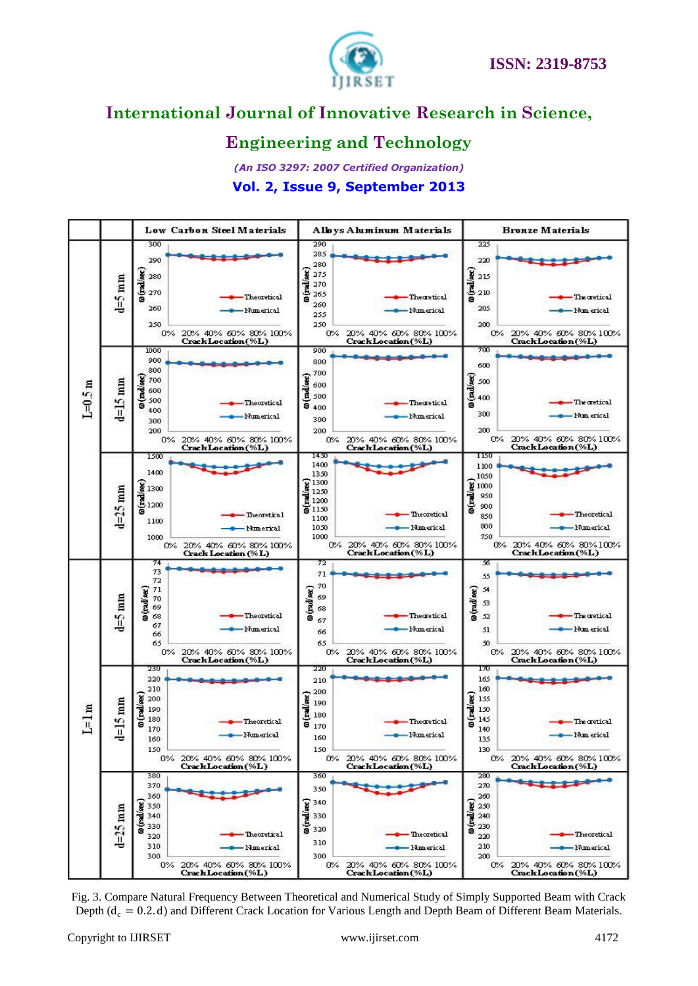

# **Engineering and Technology**



Fig. 3. Compare Natural Frequency Between Theoretical and Numerical Study of Simply Supported Beam with Crack Depth ( $d_c = 0.2$ . d) and Different Crack Location for Various Length and Depth Beam of Different Beam Materials.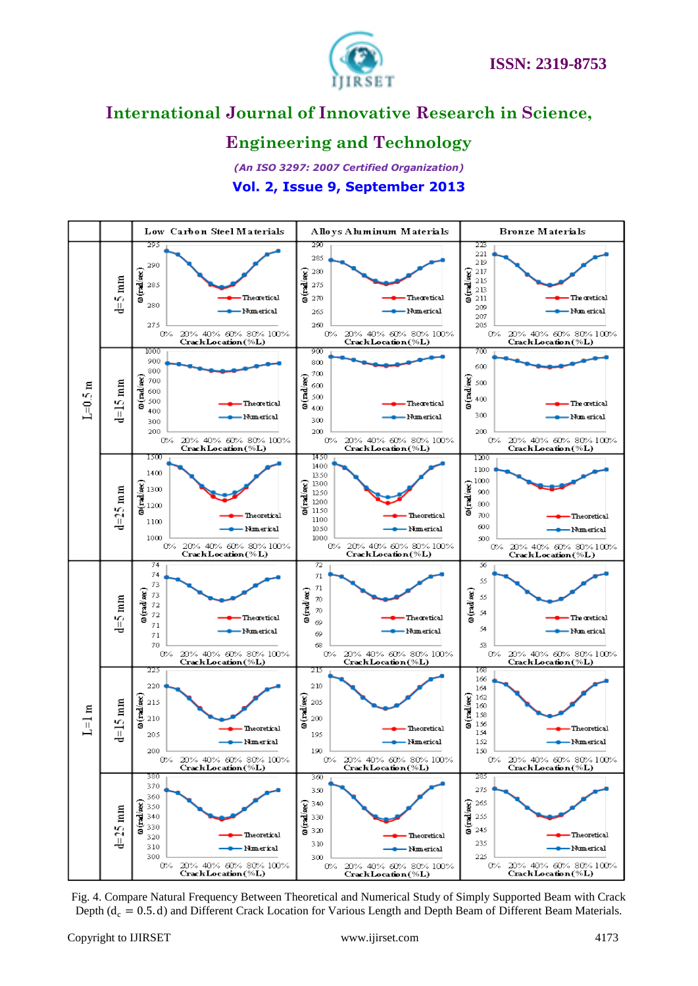

# **Engineering and Technology**



Fig. 4. Compare Natural Frequency Between Theoretical and Numerical Study of Simply Supported Beam with Crack Depth ( $d_c = 0.5$ . d) and Different Crack Location for Various Length and Depth Beam of Different Beam Materials.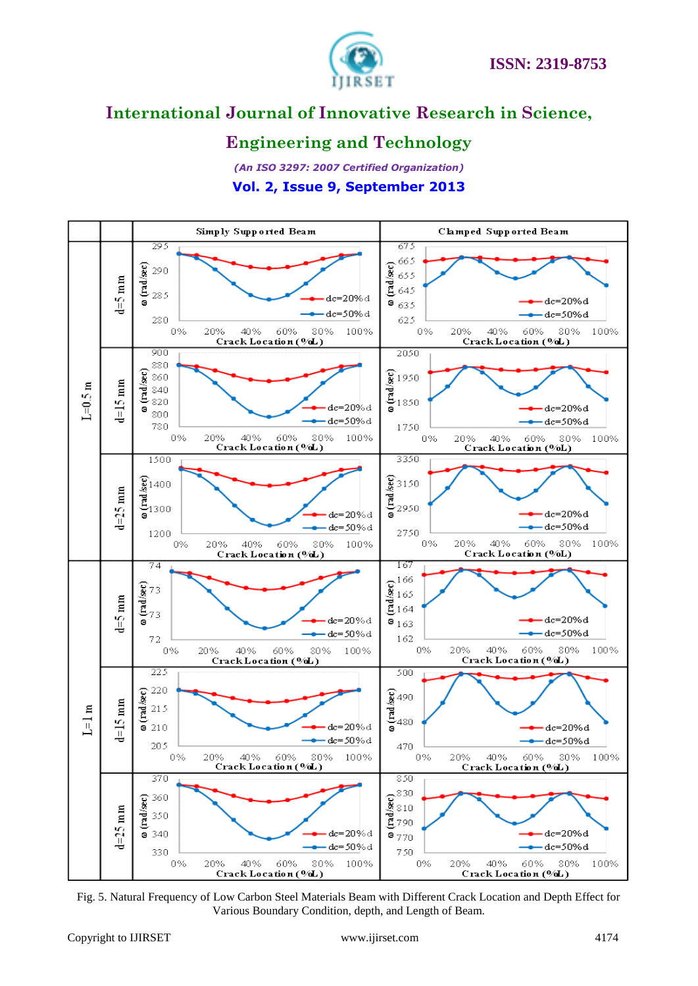

### **Engineering and Technology**



Fig. 5. Natural Frequency of Low Carbon Steel Materials Beam with Different Crack Location and Depth Effect for Various Boundary Condition, depth, and Length of Beam.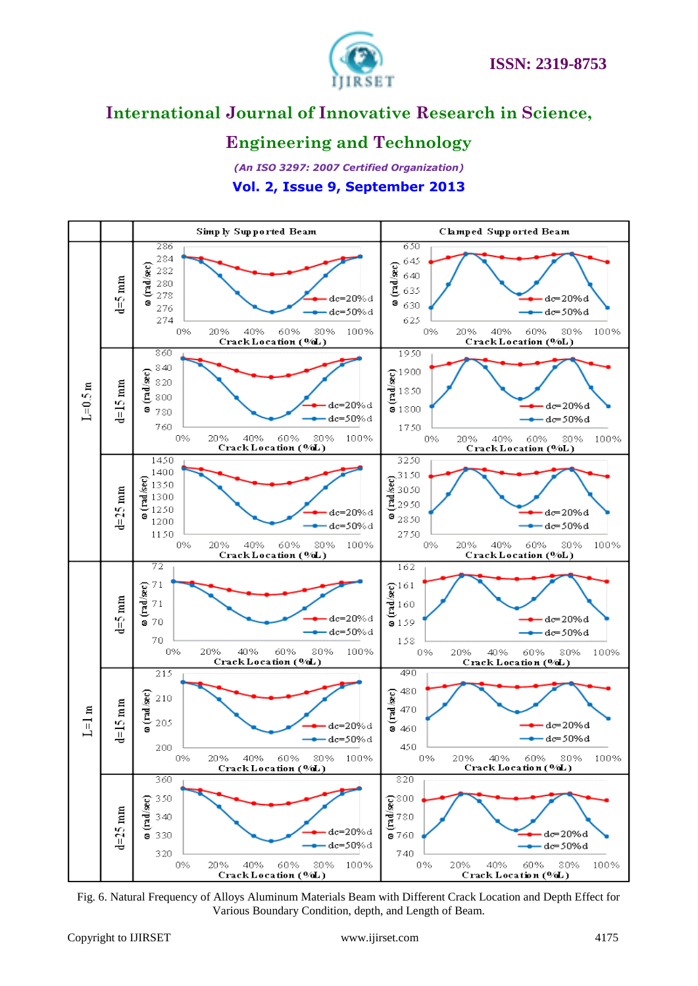

### **Engineering and Technology**



Fig. 6. Natural Frequency of Alloys Aluminum Materials Beam with Different Crack Location and Depth Effect for Various Boundary Condition, depth, and Length of Beam.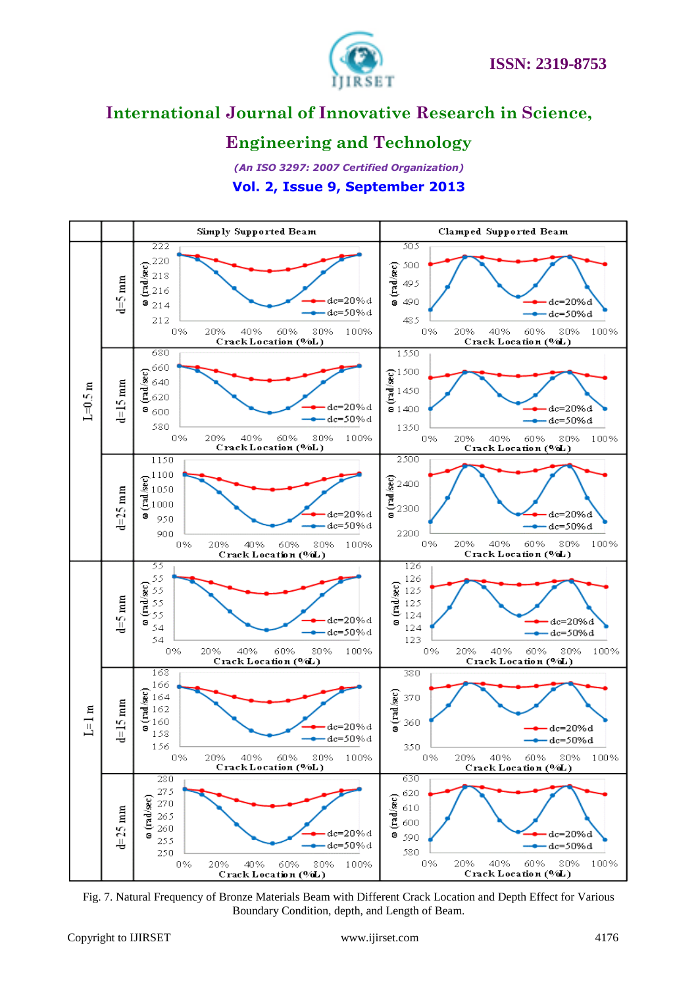

### **Engineering and Technology**